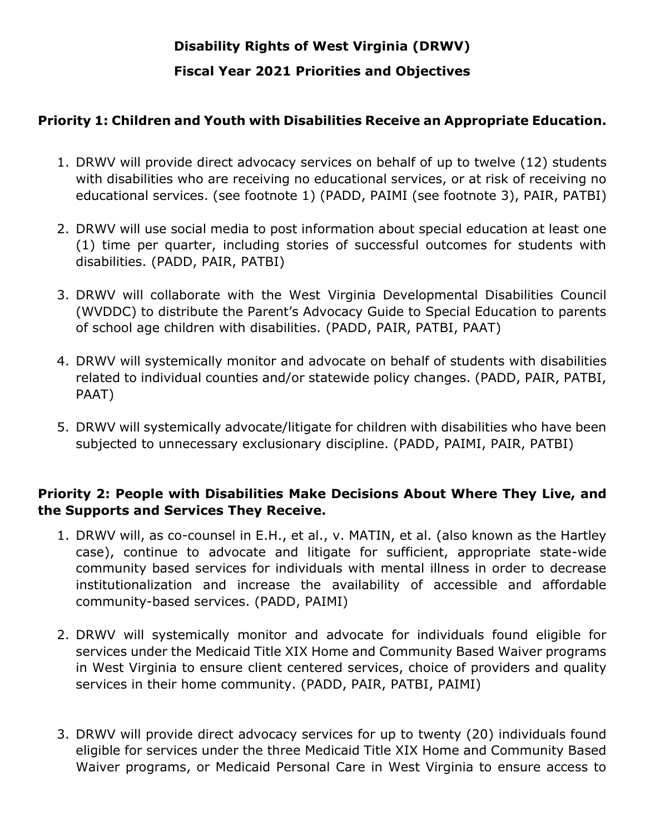# **Disability Rights of West Virginia (DRWV) Fiscal Year 2021 Priorities and Objectives**

# **Priority 1: Children and Youth with Disabilities Receive an Appropriate Education.**

- 1. DRWV will provide direct advocacy services on behalf of up to twelve (12) students with disabilities who are receiving no educational services, or at risk of receiving no educational services. (see footnote 1) (PADD, PAIMI (see footnote 3), PAIR, PATBI)
- 2. DRWV will use social media to post information about special education at least one (1) time per quarter, including stories of successful outcomes for students with disabilities. (PADD, PAIR, PATBI)
- 3. DRWV will collaborate with the West Virginia Developmental Disabilities Council (WVDDC) to distribute the Parent's Advocacy Guide to Special Education to parents of school age children with disabilities. (PADD, PAIR, PATBI, PAAT)
- 4. DRWV will systemically monitor and advocate on behalf of students with disabilities related to individual counties and/or statewide policy changes. (PADD, PAIR, PATBI, PAAT)
- 5. DRWV will systemically advocate/litigate for children with disabilities who have been subjected to unnecessary exclusionary discipline. (PADD, PAIMI, PAIR, PATBI)

# **Priority 2: People with Disabilities Make Decisions About Where They Live, and the Supports and Services They Receive.**

- 1. DRWV will, as co-counsel in E.H., et al., v. MATIN, et al. (also known as the Hartley case), continue to advocate and litigate for sufficient, appropriate state-wide community based services for individuals with mental illness in order to decrease institutionalization and increase the availability of accessible and affordable community-based services. (PADD, PAIMI)
- 2. DRWV will systemically monitor and advocate for individuals found eligible for services under the Medicaid Title XIX Home and Community Based Waiver programs in West Virginia to ensure client centered services, choice of providers and quality services in their home community. (PADD, PAIR, PATBI, PAIMI)
- 3. DRWV will provide direct advocacy services for up to twenty (20) individuals found eligible for services under the three Medicaid Title XIX Home and Community Based Waiver programs, or Medicaid Personal Care in West Virginia to ensure access to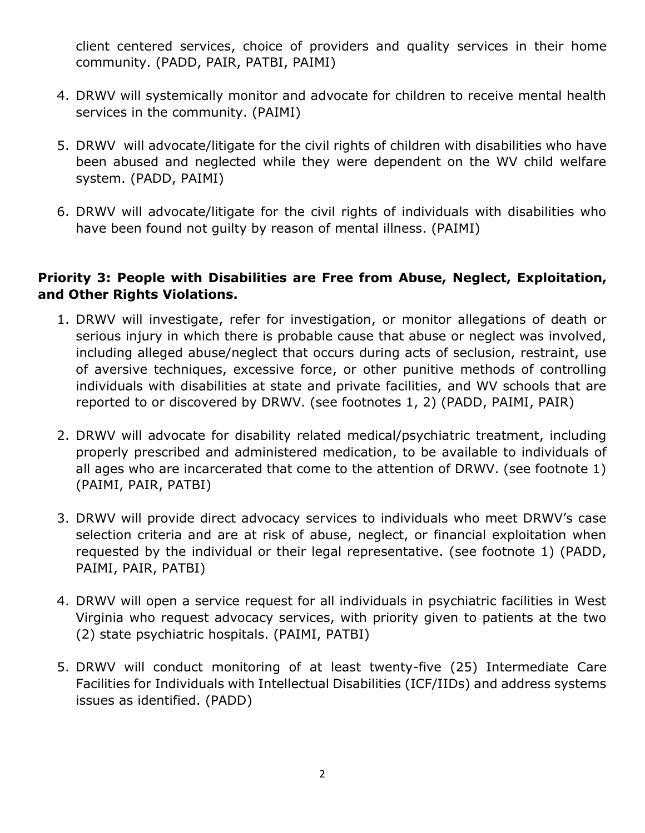client centered services, choice of providers and quality services in their home community. (PADD, PAIR, PATBI, PAIMI)

- 4. DRWV will systemically monitor and advocate for children to receive mental health services in the community. (PAIMI)
- 5. DRWV will advocate/litigate for the civil rights of children with disabilities who have been abused and neglected while they were dependent on the WV child welfare system. (PADD, PAIMI)
- 6. DRWV will advocate/litigate for the civil rights of individuals with disabilities who have been found not guilty by reason of mental illness. (PAIMI)

### **Priority 3: People with Disabilities are Free from Abuse, Neglect, Exploitation, and Other Rights Violations.**

- 1. DRWV will investigate, refer for investigation, or monitor allegations of death or serious injury in which there is probable cause that abuse or neglect was involved, including alleged abuse/neglect that occurs during acts of seclusion, restraint, use of aversive techniques, excessive force, or other punitive methods of controlling individuals with disabilities at state and private facilities, and WV schools that are reported to or discovered by DRWV. (see footnotes 1, 2) (PADD, PAIMI, PAIR)
- 2. DRWV will advocate for disability related medical/psychiatric treatment, including properly prescribed and administered medication, to be available to individuals of all ages who are incarcerated that come to the attention of DRWV. (see footnote 1) (PAIMI, PAIR, PATBI)
- 3. DRWV will provide direct advocacy services to individuals who meet DRWV's case selection criteria and are at risk of abuse, neglect, or financial exploitation when requested by the individual or their legal representative. (see footnote 1) (PADD, PAIMI, PAIR, PATBI)
- 4. DRWV will open a service request for all individuals in psychiatric facilities in West Virginia who request advocacy services, with priority given to patients at the two (2) state psychiatric hospitals. (PAIMI, PATBI)
- 5. DRWV will conduct monitoring of at least twenty-five (25) Intermediate Care Facilities for Individuals with Intellectual Disabilities (ICF/IIDs) and address systems issues as identified. (PADD)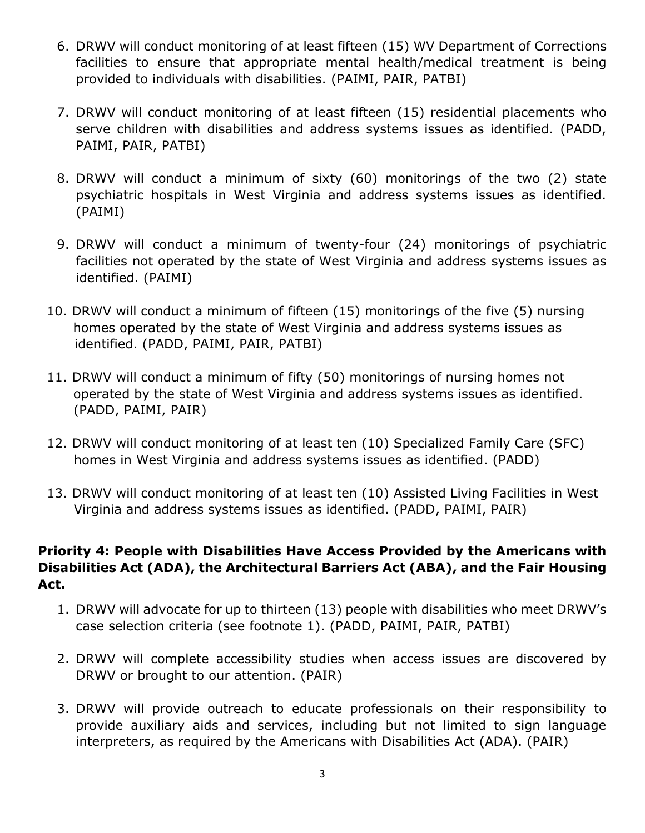- 6. DRWV will conduct monitoring of at least fifteen (15) WV Department of Corrections facilities to ensure that appropriate mental health/medical treatment is being provided to individuals with disabilities. (PAIMI, PAIR, PATBI)
- 7. DRWV will conduct monitoring of at least fifteen (15) residential placements who serve children with disabilities and address systems issues as identified. (PADD, PAIMI, PAIR, PATBI)
- 8. DRWV will conduct a minimum of sixty (60) monitorings of the two (2) state psychiatric hospitals in West Virginia and address systems issues as identified. (PAIMI)
- 9. DRWV will conduct a minimum of twenty-four (24) monitorings of psychiatric facilities not operated by the state of West Virginia and address systems issues as identified. (PAIMI)
- 10. DRWV will conduct a minimum of fifteen (15) monitorings of the five (5) nursing homes operated by the state of West Virginia and address systems issues as identified. (PADD, PAIMI, PAIR, PATBI)
- 11. DRWV will conduct a minimum of fifty (50) monitorings of nursing homes not operated by the state of West Virginia and address systems issues as identified. (PADD, PAIMI, PAIR)
- 12. DRWV will conduct monitoring of at least ten (10) Specialized Family Care (SFC) homes in West Virginia and address systems issues as identified. (PADD)
- 13. DRWV will conduct monitoring of at least ten (10) Assisted Living Facilities in West Virginia and address systems issues as identified. (PADD, PAIMI, PAIR)

# **Priority 4: People with Disabilities Have Access Provided by the Americans with Disabilities Act (ADA), the Architectural Barriers Act (ABA), and the Fair Housing Act.**

- 1. DRWV will advocate for up to thirteen (13) people with disabilities who meet DRWV's case selection criteria (see footnote 1). (PADD, PAIMI, PAIR, PATBI)
- 2. DRWV will complete accessibility studies when access issues are discovered by DRWV or brought to our attention. (PAIR)
- 3. DRWV will provide outreach to educate professionals on their responsibility to provide auxiliary aids and services, including but not limited to sign language interpreters, as required by the Americans with Disabilities Act (ADA). (PAIR)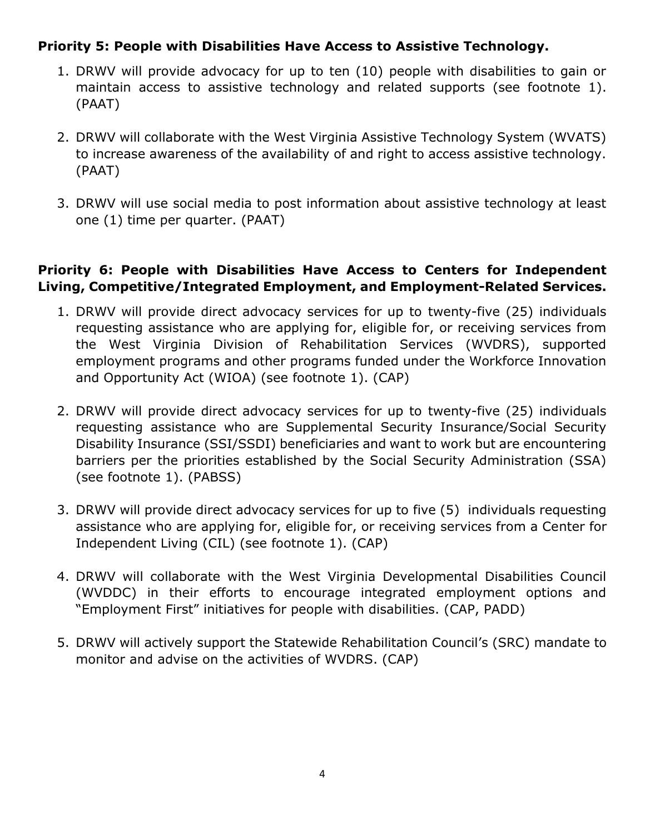# **Priority 5: People with Disabilities Have Access to Assistive Technology.**

- 1. DRWV will provide advocacy for up to ten (10) people with disabilities to gain or maintain access to assistive technology and related supports (see footnote 1). (PAAT)
- 2. DRWV will collaborate with the West Virginia Assistive Technology System (WVATS) to increase awareness of the availability of and right to access assistive technology. (PAAT)
- 3. DRWV will use social media to post information about assistive technology at least one (1) time per quarter. (PAAT)

# **Priority 6: People with Disabilities Have Access to Centers for Independent Living, Competitive/Integrated Employment, and Employment-Related Services.**

- 1. DRWV will provide direct advocacy services for up to twenty-five (25) individuals requesting assistance who are applying for, eligible for, or receiving services from the West Virginia Division of Rehabilitation Services (WVDRS), supported employment programs and other programs funded under the Workforce Innovation and Opportunity Act (WIOA) (see footnote 1). (CAP)
- 2. DRWV will provide direct advocacy services for up to twenty-five (25) individuals requesting assistance who are Supplemental Security Insurance/Social Security Disability Insurance (SSI/SSDI) beneficiaries and want to work but are encountering barriers per the priorities established by the Social Security Administration (SSA) (see footnote 1). (PABSS)
- 3. DRWV will provide direct advocacy services for up to five (5) individuals requesting assistance who are applying for, eligible for, or receiving services from a Center for Independent Living (CIL) (see footnote 1). (CAP)
- 4. DRWV will collaborate with the West Virginia Developmental Disabilities Council (WVDDC) in their efforts to encourage integrated employment options and "Employment First" initiatives for people with disabilities. (CAP, PADD)
- 5. DRWV will actively support the Statewide Rehabilitation Council's (SRC) mandate to monitor and advise on the activities of WVDRS. (CAP)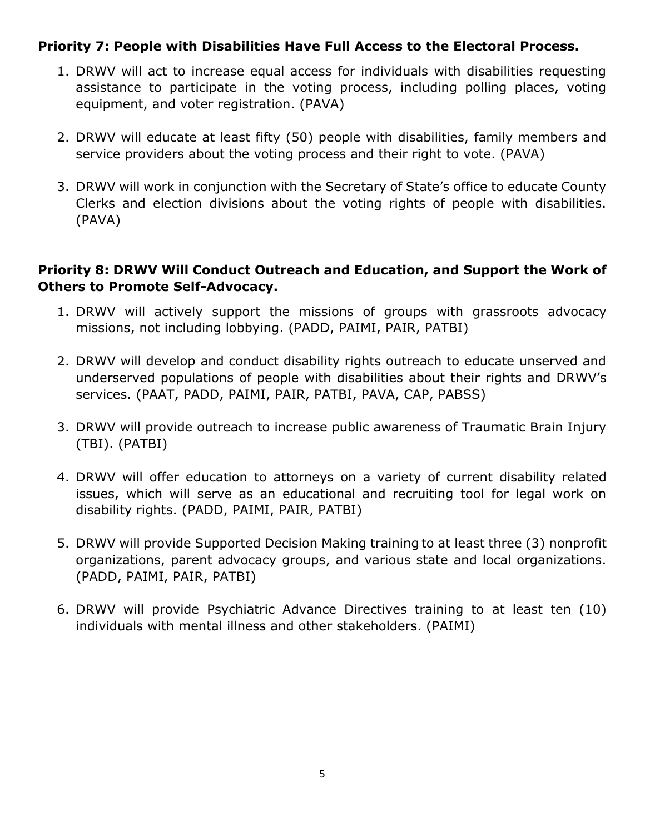## **Priority 7: People with Disabilities Have Full Access to the Electoral Process.**

- 1. DRWV will act to increase equal access for individuals with disabilities requesting assistance to participate in the voting process, including polling places, voting equipment, and voter registration. (PAVA)
- 2. DRWV will educate at least fifty (50) people with disabilities, family members and service providers about the voting process and their right to vote. (PAVA)
- 3. DRWV will work in conjunction with the Secretary of State's office to educate County Clerks and election divisions about the voting rights of people with disabilities. (PAVA)

### **Priority 8: DRWV Will Conduct Outreach and Education, and Support the Work of Others to Promote Self-Advocacy.**

- 1. DRWV will actively support the missions of groups with grassroots advocacy missions, not including lobbying. (PADD, PAIMI, PAIR, PATBI)
- 2. DRWV will develop and conduct disability rights outreach to educate unserved and underserved populations of people with disabilities about their rights and DRWV's services. (PAAT, PADD, PAIMI, PAIR, PATBI, PAVA, CAP, PABSS)
- 3. DRWV will provide outreach to increase public awareness of Traumatic Brain Injury (TBI). (PATBI)
- 4. DRWV will offer education to attorneys on a variety of current disability related issues, which will serve as an educational and recruiting tool for legal work on disability rights. (PADD, PAIMI, PAIR, PATBI)
- 5. DRWV will provide Supported Decision Making training to at least three (3) nonprofit organizations, parent advocacy groups, and various state and local organizations. (PADD, PAIMI, PAIR, PATBI)
- 6. DRWV will provide Psychiatric Advance Directives training to at least ten (10) individuals with mental illness and other stakeholders. (PAIMI)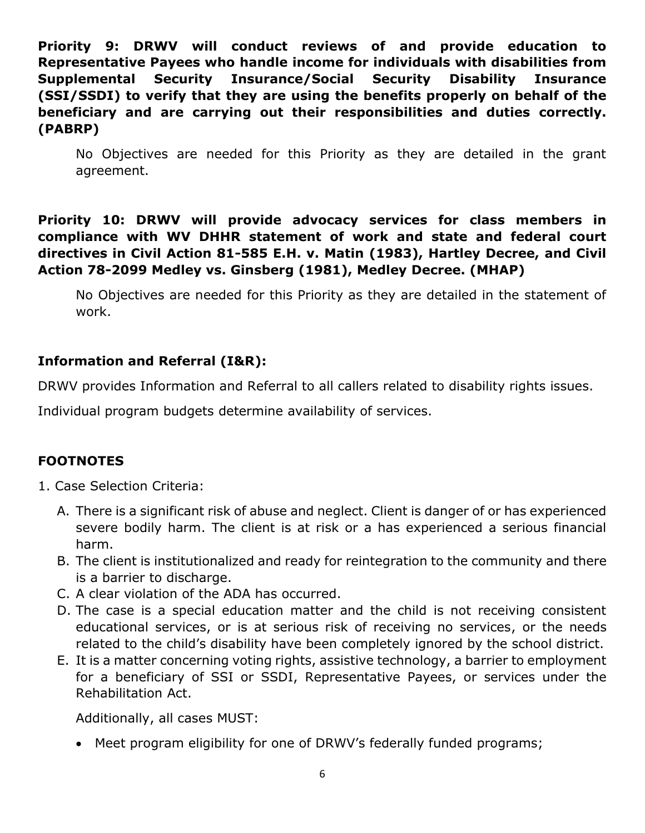**Priority 9: DRWV will conduct reviews of and provide education to Representative Payees who handle income for individuals with disabilities from Supplemental Security Insurance/Social Security Disability Insurance (SSI/SSDI) to verify that they are using the benefits properly on behalf of the beneficiary and are carrying out their responsibilities and duties correctly. (PABRP)**

No Objectives are needed for this Priority as they are detailed in the grant agreement.

**Priority 10: DRWV will provide advocacy services for class members in compliance with WV DHHR statement of work and state and federal court directives in Civil Action 81-585 E.H. v. Matin (1983), Hartley Decree, and Civil Action 78-2099 Medley vs. Ginsberg (1981), Medley Decree. (MHAP)**

No Objectives are needed for this Priority as they are detailed in the statement of work.

# **Information and Referral (I&R):**

DRWV provides Information and Referral to all callers related to disability rights issues.

Individual program budgets determine availability of services.

### **FOOTNOTES**

- 1. Case Selection Criteria:
	- A. There is a significant risk of abuse and neglect. Client is danger of or has experienced severe bodily harm. The client is at risk or a has experienced a serious financial harm.
	- B. The client is institutionalized and ready for reintegration to the community and there is a barrier to discharge.
	- C. A clear violation of the ADA has occurred.
	- D. The case is a special education matter and the child is not receiving consistent educational services, or is at serious risk of receiving no services, or the needs related to the child's disability have been completely ignored by the school district.
	- E. It is a matter concerning voting rights, assistive technology, a barrier to employment for a beneficiary of SSI or SSDI, Representative Payees, or services under the Rehabilitation Act.

Additionally, all cases MUST:

• Meet program eligibility for one of DRWV's federally funded programs;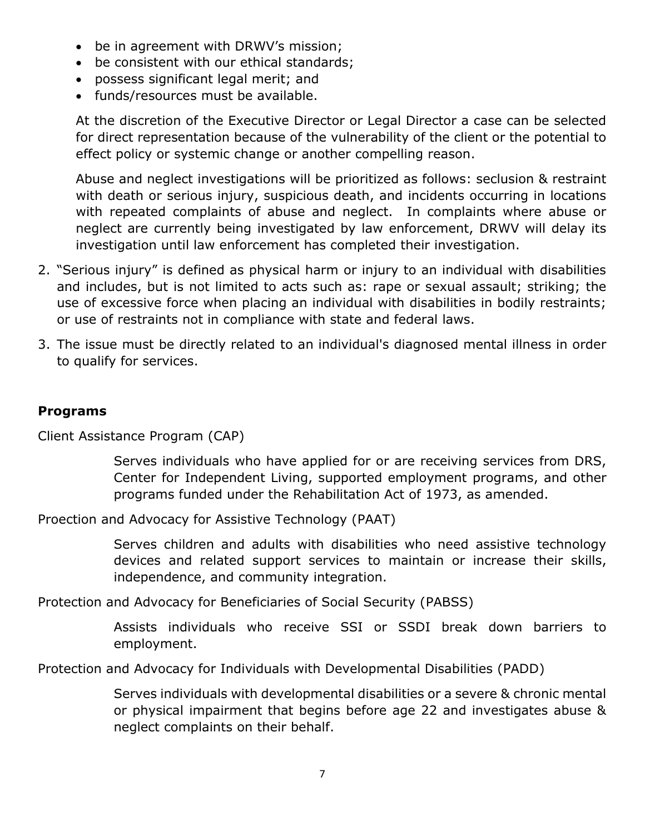- be in agreement with DRWV's mission;
- be consistent with our ethical standards;
- possess significant legal merit; and
- funds/resources must be available.

At the discretion of the Executive Director or Legal Director a case can be selected for direct representation because of the vulnerability of the client or the potential to effect policy or systemic change or another compelling reason.

Abuse and neglect investigations will be prioritized as follows: seclusion & restraint with death or serious injury, suspicious death, and incidents occurring in locations with repeated complaints of abuse and neglect. In complaints where abuse or neglect are currently being investigated by law enforcement, DRWV will delay its investigation until law enforcement has completed their investigation.

- 2. "Serious injury" is defined as physical harm or injury to an individual with disabilities and includes, but is not limited to acts such as: rape or sexual assault; striking; the use of excessive force when placing an individual with disabilities in bodily restraints; or use of restraints not in compliance with state and federal laws.
- 3. The issue must be directly related to an individual's diagnosed mental illness in order to qualify for services.

#### **Programs**

Client Assistance Program (CAP)

Serves individuals who have applied for or are receiving services from DRS, Center for Independent Living, supported employment programs, and other programs funded under the Rehabilitation Act of 1973, as amended.

Proection and Advocacy for Assistive Technology (PAAT)

Serves children and adults with disabilities who need assistive technology devices and related support services to maintain or increase their skills, independence, and community integration.

Protection and Advocacy for Beneficiaries of Social Security (PABSS)

Assists individuals who receive SSI or SSDI break down barriers to employment.

Protection and Advocacy for Individuals with Developmental Disabilities (PADD)

Serves individuals with developmental disabilities or a severe & chronic mental or physical impairment that begins before age 22 and investigates abuse & neglect complaints on their behalf.